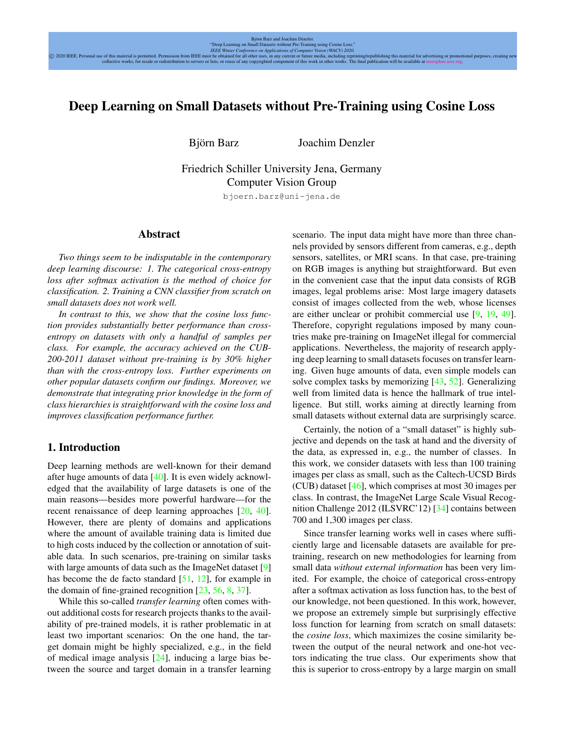# <span id="page-0-1"></span>Deep Learning on Small Datasets without Pre-Training using Cosine Loss

Björn Barz von Joachim Denzler

Friedrich Schiller University Jena, Germany Computer Vision Group

bjoern.barz@uni-jena.de

#### Abstract

*Two things seem to be indisputable in the contemporary deep learning discourse: 1. The categorical cross-entropy loss after softmax activation is the method of choice for classification. 2. Training a CNN classifier from scratch on small datasets does not work well.*

*In contrast to this, we show that the cosine loss function provides substantially better performance than crossentropy on datasets with only a handful of samples per class. For example, the accuracy achieved on the CUB-200-2011 dataset without pre-training is by 30% higher than with the cross-entropy loss. Further experiments on other popular datasets confirm our findings. Moreover, we demonstrate that integrating prior knowledge in the form of class hierarchies is straightforward with the cosine loss and improves classification performance further.*

# <span id="page-0-0"></span>1. Introduction

Deep learning methods are well-known for their demand after huge amounts of data [\[40\]](#page-9-0). It is even widely acknowledged that the availability of large datasets is one of the main reasons—besides more powerful hardware—for the recent renaissance of deep learning approaches [\[20,](#page-8-0) [40\]](#page-9-0). However, there are plenty of domains and applications where the amount of available training data is limited due to high costs induced by the collection or annotation of suitable data. In such scenarios, pre-training on similar tasks with large amounts of data such as the ImageNet dataset [\[9\]](#page-8-1) has become the de facto standard [\[51,](#page-9-1) [12\]](#page-8-2), for example in the domain of fine-grained recognition [\[23,](#page-8-3) [56,](#page-9-2) [8,](#page-8-4) [37\]](#page-9-3).

While this so-called *transfer learning* often comes without additional costs for research projects thanks to the availability of pre-trained models, it is rather problematic in at least two important scenarios: On the one hand, the target domain might be highly specialized, e.g., in the field of medical image analysis [\[24\]](#page-8-5), inducing a large bias between the source and target domain in a transfer learning scenario. The input data might have more than three channels provided by sensors different from cameras, e.g., depth sensors, satellites, or MRI scans. In that case, pre-training on RGB images is anything but straightforward. But even in the convenient case that the input data consists of RGB images, legal problems arise: Most large imagery datasets consist of images collected from the web, whose licenses are either unclear or prohibit commercial use [\[9,](#page-8-1) [19,](#page-8-6) [49\]](#page-9-4). Therefore, copyright regulations imposed by many countries make pre-training on ImageNet illegal for commercial applications. Nevertheless, the majority of research applying deep learning to small datasets focuses on transfer learning. Given huge amounts of data, even simple models can solve complex tasks by memorizing [\[43,](#page-9-5) [52\]](#page-9-6). Generalizing well from limited data is hence the hallmark of true intelligence. But still, works aiming at directly learning from small datasets without external data are surprisingly scarce.

Certainly, the notion of a "small dataset" is highly subjective and depends on the task at hand and the diversity of the data, as expressed in, e.g., the number of classes. In this work, we consider datasets with less than 100 training images per class as small, such as the Caltech-UCSD Birds (CUB) dataset [\[46\]](#page-9-7), which comprises at most 30 images per class. In contrast, the ImageNet Large Scale Visual Recognition Challenge 2012 (ILSVRC'12) [\[34\]](#page-9-8) contains between 700 and 1,300 images per class.

Since transfer learning works well in cases where sufficiently large and licensable datasets are available for pretraining, research on new methodologies for learning from small data *without external information* has been very limited. For example, the choice of categorical cross-entropy after a softmax activation as loss function has, to the best of our knowledge, not been questioned. In this work, however, we propose an extremely simple but surprisingly effective loss function for learning from scratch on small datasets: the *cosine loss*, which maximizes the cosine similarity between the output of the neural network and one-hot vectors indicating the true class. Our experiments show that this is superior to cross-entropy by a large margin on small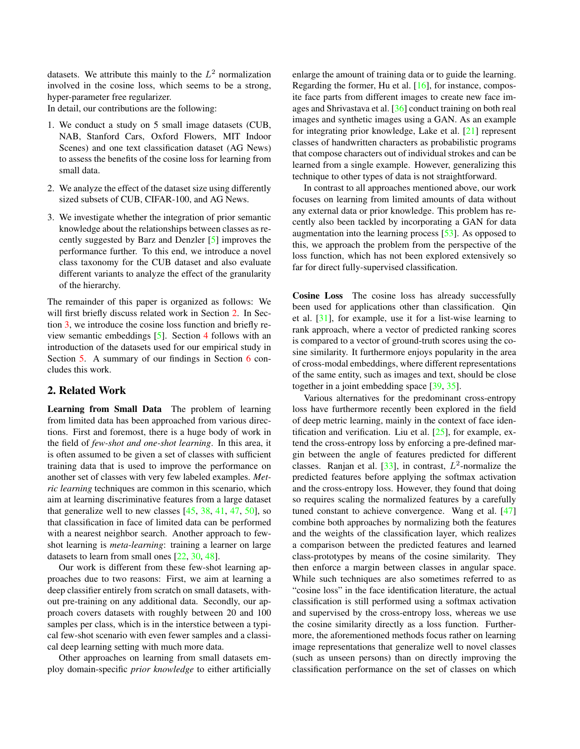<span id="page-1-1"></span>datasets. We attribute this mainly to the  $L^2$  normalization involved in the cosine loss, which seems to be a strong, hyper-parameter free regularizer.

In detail, our contributions are the following:

- 1. We conduct a study on 5 small image datasets (CUB, NAB, Stanford Cars, Oxford Flowers, MIT Indoor Scenes) and one text classification dataset (AG News) to assess the benefits of the cosine loss for learning from small data.
- 2. We analyze the effect of the dataset size using differently sized subsets of CUB, CIFAR-100, and AG News.
- 3. We investigate whether the integration of prior semantic knowledge about the relationships between classes as recently suggested by Barz and Denzler [\[5\]](#page-8-7) improves the performance further. To this end, we introduce a novel class taxonomy for the CUB dataset and also evaluate different variants to analyze the effect of the granularity of the hierarchy.

The remainder of this paper is organized as follows: We will first briefly discuss related work in Section [2.](#page-1-0) In Section [3,](#page-2-0) we introduce the cosine loss function and briefly review semantic embeddings [\[5\]](#page-8-7). Section [4](#page-3-0) follows with an introduction of the datasets used for our empirical study in Section [5.](#page-4-0) A summary of our findings in Section [6](#page-7-0) concludes this work.

# <span id="page-1-0"></span>2. Related Work

Learning from Small Data The problem of learning from limited data has been approached from various directions. First and foremost, there is a huge body of work in the field of *few-shot and one-shot learning*. In this area, it is often assumed to be given a set of classes with sufficient training data that is used to improve the performance on another set of classes with very few labeled examples. *Metric learning* techniques are common in this scenario, which aim at learning discriminative features from a large dataset that generalize well to new classes  $[45, 38, 41, 47, 50]$  $[45, 38, 41, 47, 50]$  $[45, 38, 41, 47, 50]$  $[45, 38, 41, 47, 50]$  $[45, 38, 41, 47, 50]$  $[45, 38, 41, 47, 50]$  $[45, 38, 41, 47, 50]$  $[45, 38, 41, 47, 50]$  $[45, 38, 41, 47, 50]$ , so that classification in face of limited data can be performed with a nearest neighbor search. Another approach to fewshot learning is *meta-learning*: training a learner on large datasets to learn from small ones [\[22,](#page-8-8) [30,](#page-8-9) [48\]](#page-9-14).

Our work is different from these few-shot learning approaches due to two reasons: First, we aim at learning a deep classifier entirely from scratch on small datasets, without pre-training on any additional data. Secondly, our approach covers datasets with roughly between 20 and 100 samples per class, which is in the interstice between a typical few-shot scenario with even fewer samples and a classical deep learning setting with much more data.

Other approaches on learning from small datasets employ domain-specific *prior knowledge* to either artificially enlarge the amount of training data or to guide the learning. Regarding the former, Hu et al. [\[16\]](#page-8-10), for instance, composite face parts from different images to create new face images and Shrivastava et al. [\[36\]](#page-9-15) conduct training on both real images and synthetic images using a GAN. As an example for integrating prior knowledge, Lake et al. [\[21\]](#page-8-11) represent classes of handwritten characters as probabilistic programs that compose characters out of individual strokes and can be learned from a single example. However, generalizing this technique to other types of data is not straightforward.

In contrast to all approaches mentioned above, our work focuses on learning from limited amounts of data without any external data or prior knowledge. This problem has recently also been tackled by incorporating a GAN for data augmentation into the learning process [\[53\]](#page-9-16). As opposed to this, we approach the problem from the perspective of the loss function, which has not been explored extensively so far for direct fully-supervised classification.

Cosine Loss The cosine loss has already successfully been used for applications other than classification. Qin et al. [\[31\]](#page-8-12), for example, use it for a list-wise learning to rank approach, where a vector of predicted ranking scores is compared to a vector of ground-truth scores using the cosine similarity. It furthermore enjoys popularity in the area of cross-modal embeddings, where different representations of the same entity, such as images and text, should be close together in a joint embedding space [\[39,](#page-9-17) [35\]](#page-9-18).

Various alternatives for the predominant cross-entropy loss have furthermore recently been explored in the field of deep metric learning, mainly in the context of face identification and verification. Liu et al.  $[25]$ , for example, extend the cross-entropy loss by enforcing a pre-defined margin between the angle of features predicted for different classes. Ranjan et al.  $[33]$ , in contrast,  $L^2$ -normalize the predicted features before applying the softmax activation and the cross-entropy loss. However, they found that doing so requires scaling the normalized features by a carefully tuned constant to achieve convergence. Wang et al. [\[47\]](#page-9-12) combine both approaches by normalizing both the features and the weights of the classification layer, which realizes a comparison between the predicted features and learned class-prototypes by means of the cosine similarity. They then enforce a margin between classes in angular space. While such techniques are also sometimes referred to as "cosine loss" in the face identification literature, the actual classification is still performed using a softmax activation and supervised by the cross-entropy loss, whereas we use the cosine similarity directly as a loss function. Furthermore, the aforementioned methods focus rather on learning image representations that generalize well to novel classes (such as unseen persons) than on directly improving the classification performance on the set of classes on which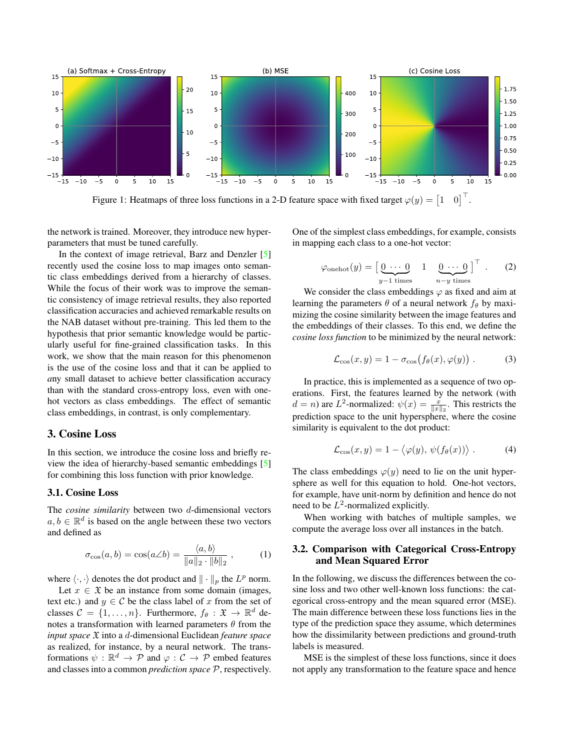<span id="page-2-4"></span><span id="page-2-2"></span>

Figure 1: Heatmaps of three loss functions in a 2-D feature space with fixed target  $\varphi(y) = \begin{bmatrix} 1 & 0 \end{bmatrix}^{\top}$ .

the network is trained. Moreover, they introduce new hyperparameters that must be tuned carefully.

In the context of image retrieval, Barz and Denzler [\[5\]](#page-8-7) recently used the cosine loss to map images onto semantic class embeddings derived from a hierarchy of classes. While the focus of their work was to improve the semantic consistency of image retrieval results, they also reported classification accuracies and achieved remarkable results on the NAB dataset without pre-training. This led them to the hypothesis that prior semantic knowledge would be particularly useful for fine-grained classification tasks. In this work, we show that the main reason for this phenomenon is the use of the cosine loss and that it can be applied to *a*ny small dataset to achieve better classification accuracy than with the standard cross-entropy loss, even with onehot vectors as class embeddings. The effect of semantic class embeddings, in contrast, is only complementary.

#### <span id="page-2-0"></span>3. Cosine Loss

In this section, we introduce the cosine loss and briefly review the idea of hierarchy-based semantic embeddings [\[5\]](#page-8-7) for combining this loss function with prior knowledge.

# 3.1. Cosine Loss

The *cosine similarity* between two d-dimensional vectors  $a, b \in \mathbb{R}^d$  is based on the angle between these two vectors and defined as

$$
\sigma_{\cos}(a, b) = \cos(a \angle b) = \frac{\langle a, b \rangle}{\|a\|_2 \cdot \|b\|_2}, \quad (1)
$$

where  $\langle \cdot, \cdot \rangle$  denotes the dot product and  $\| \cdot \|_p$  the  $L^p$  norm.

Let  $x \in \mathfrak{X}$  be an instance from some domain (images, text etc.) and  $y \in \mathcal{C}$  be the class label of x from the set of classes  $C = \{1, ..., n\}$ . Furthermore,  $f_{\theta}: \mathfrak{X} \to \mathbb{R}^d$  denotes a transformation with learned parameters  $\theta$  from the *input space* X into a d-dimensional Euclidean *feature space* as realized, for instance, by a neural network. The transformations  $\psi : \mathbb{R}^d \to \mathcal{P}$  and  $\varphi : \mathcal{C} \to \mathcal{P}$  embed features and classes into a common *prediction space* P, respectively.

One of the simplest class embeddings, for example, consists in mapping each class to a one-hot vector:

$$
\varphi_{\text{onehot}}(y) = \begin{bmatrix} 0 & \cdots & 0 & 1 & 0 & \cdots & 0 \\ \frac{0}{y-1} & \text{times} & & & n-y \text{ times} \end{bmatrix}^{\top} . \tag{2}
$$

We consider the class embeddings  $\varphi$  as fixed and aim at learning the parameters  $\theta$  of a neural network  $f_{\theta}$  by maximizing the cosine similarity between the image features and the embeddings of their classes. To this end, we define the *cosine loss function* to be minimized by the neural network:

$$
\mathcal{L}_{\cos}(x, y) = 1 - \sigma_{\cos}(f_{\theta}(x), \varphi(y)). \tag{3}
$$

In practice, this is implemented as a sequence of two operations. First, the features learned by the network (with  $d = n$ ) are  $L^2$ -normalized:  $\psi(x) = \frac{x}{\|x\|_2}$ . This restricts the prediction space to the unit hypersphere, where the cosine similarity is equivalent to the dot product:

<span id="page-2-1"></span>
$$
\mathcal{L}_{\cos}(x, y) = 1 - \langle \varphi(y), \psi(f_{\theta}(x)) \rangle. \tag{4}
$$

The class embeddings  $\varphi(y)$  need to lie on the unit hypersphere as well for this equation to hold. One-hot vectors, for example, have unit-norm by definition and hence do not need to be  $L^2$ -normalized explicitly.

When working with batches of multiple samples, we compute the average loss over all instances in the batch.

# <span id="page-2-3"></span>3.2. Comparison with Categorical Cross-Entropy and Mean Squared Error

In the following, we discuss the differences between the cosine loss and two other well-known loss functions: the categorical cross-entropy and the mean squared error (MSE). The main difference between these loss functions lies in the type of the prediction space they assume, which determines how the dissimilarity between predictions and ground-truth labels is measured.

MSE is the simplest of these loss functions, since it does not apply any transformation to the feature space and hence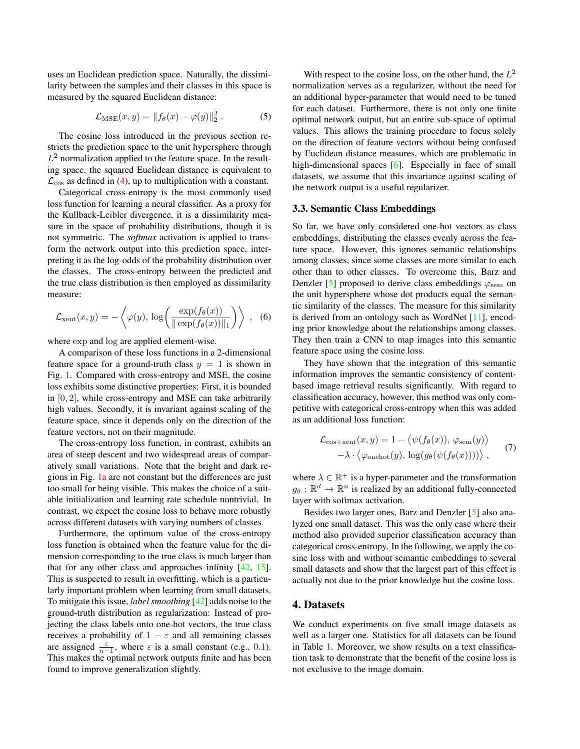<span id="page-3-2"></span>uses an Euclidean prediction space. Naturally, the dissimilarity between the samples and their classes in this space is measured by the squared Euclidean distance:

$$
\mathcal{L}_{\text{MSE}}(x, y) = ||f_{\theta}(x) - \varphi(y)||_2^2.
$$
 (5)

The cosine loss introduced in the previous section restricts the prediction space to the unit hypersphere through  $L^2$  normalization applied to the feature space. In the resulting space, the squared Euclidean distance is equivalent to  $\mathcal{L}_{\cos}$  as defined in [\(4\)](#page-2-1), up to multiplication with a constant.

Categorical cross-entropy is the most commonly used loss function for learning a neural classifier. As a proxy for the Kullback-Leibler divergence, it is a dissimilarity measure in the space of probability distributions, though it is not symmetric. The *softmax* activation is applied to transform the network output into this prediction space, interpreting it as the log-odds of the probability distribution over the classes. The cross-entropy between the predicted and the true class distribution is then employed as dissimilarity measure:

$$
\mathcal{L}_{\text{xent}}(x, y) = -\left\langle \varphi(y), \, \log\left(\frac{\exp(f_{\theta}(x))}{\|\exp(f_{\theta}(x))\|_1}\right) \right\rangle , \quad (6)
$$

where exp and log are applied element-wise.

A comparison of these loss functions in a 2-dimensional feature space for a ground-truth class  $y = 1$  is shown in Fig. [1.](#page-2-2) Compared with cross-entropy and MSE, the cosine loss exhibits some distinctive properties: First, it is bounded in [0, 2], while cross-entropy and MSE can take arbitrarily high values. Secondly, it is invariant against scaling of the feature space, since it depends only on the direction of the feature vectors, not on their magnitude.

The cross-entropy loss function, in contrast, exhibits an area of steep descent and two widespread areas of comparatively small variations. Note that the bright and dark regions in Fig. [1a](#page-2-2) are not constant but the differences are just too small for being visible. This makes the choice of a suitable initialization and learning rate schedule nontrivial. In contrast, we expect the cosine loss to behave more robustly across different datasets with varying numbers of classes.

Furthermore, the optimum value of the cross-entropy loss function is obtained when the feature value for the dimension corresponding to the true class is much larger than that for any other class and approaches infinity [\[42,](#page-9-20) [15\]](#page-8-14). This is suspected to result in overfitting, which is a particularly important problem when learning from small datasets. To mitigate this issue, *label smoothing* [\[42\]](#page-9-20) adds noise to the ground-truth distribution as regularization: Instead of projecting the class labels onto one-hot vectors, the true class receives a probability of  $1 - \varepsilon$  and all remaining classes are assigned  $\frac{\varepsilon}{n-1}$ , where  $\varepsilon$  is a small constant (e.g., 0.1). This makes the optimal network outputs finite and has been found to improve generalization slightly.

With respect to the cosine loss, on the other hand, the  $L^2$ normalization serves as a regularizer, without the need for an additional hyper-parameter that would need to be tuned for each dataset. Furthermore, there is not only one finite optimal network output, but an entire sub-space of optimal values. This allows the training procedure to focus solely on the direction of feature vectors without being confused by Euclidean distance measures, which are problematic in high-dimensional spaces [\[6\]](#page-8-15). Especially in face of small datasets, we assume that this invariance against scaling of the network output is a useful regularizer.

#### 3.3. Semantic Class Embeddings

So far, we have only considered one-hot vectors as class embeddings, distributing the classes evenly across the feature space. However, this ignores semantic relationships among classes, since some classes are more similar to each other than to other classes. To overcome this, Barz and Denzler [\[5\]](#page-8-7) proposed to derive class embeddings  $\varphi_{\text{sem}}$  on the unit hypersphere whose dot products equal the semantic similarity of the classes. The measure for this similarity is derived from an ontology such as WordNet [\[11\]](#page-8-16), encoding prior knowledge about the relationships among classes. They then train a CNN to map images into this semantic feature space using the cosine loss.

They have shown that the integration of this semantic information improves the semantic consistency of contentbased image retrieval results significantly. With regard to classification accuracy, however, this method was only competitive with categorical cross-entropy when this was added as an additional loss function:

<span id="page-3-1"></span>
$$
\mathcal{L}_{\text{cos}+\text{xent}}(x, y) = 1 - \langle \psi(f_{\theta}(x)), \varphi_{\text{sem}}(y) \rangle
$$
  
 
$$
-\lambda \cdot \langle \varphi_{\text{onehot}}(y), \log(g_{\theta}(\psi(f_{\theta}(x)))) \rangle,
$$
 (7)

where  $\lambda \in \mathbb{R}^+$  is a hyper-parameter and the transformation  $g_{\theta}: \mathbb{R}^d \to \mathbb{R}^n$  is realized by an additional fully-connected layer with softmax activation.

Besides two larger ones, Barz and Denzler [\[5\]](#page-8-7) also analyzed one small dataset. This was the only case where their method also provided superior classification accuracy than categorical cross-entropy. In the following, we apply the cosine loss with and without semantic embeddings to several small datasets and show that the largest part of this effect is actually not due to the prior knowledge but the cosine loss.

#### <span id="page-3-0"></span>4. Datasets

We conduct experiments on five small image datasets as well as a larger one. Statistics for all datasets can be found in Table [1.](#page-4-1) Moreover, we show results on a text classification task to demonstrate that the benefit of the cosine loss is not exclusive to the image domain.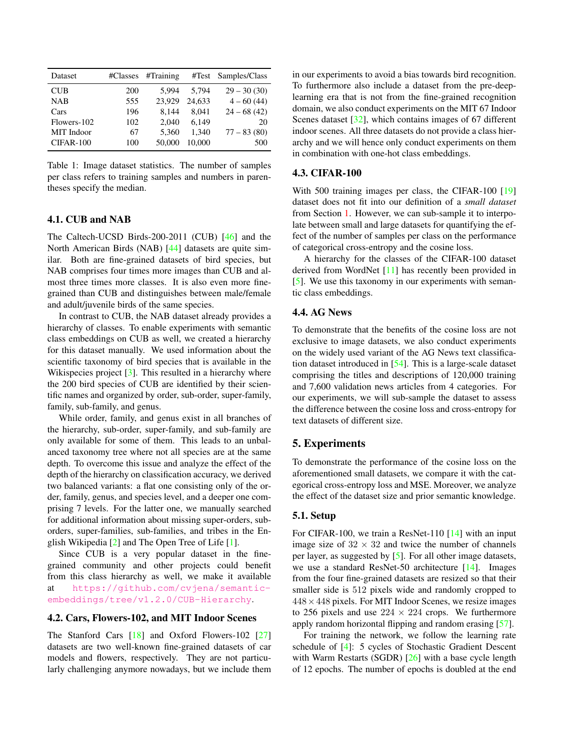<span id="page-4-3"></span><span id="page-4-1"></span>

| Dataset     | #Classes | #Training | #Test  | Samples/Class |
|-------------|----------|-----------|--------|---------------|
| <b>CUB</b>  | 200      | 5.994     | 5.794  | $29 - 30(30)$ |
| <b>NAB</b>  | 555      | 23.929    | 24.633 | $4 - 60(44)$  |
| Cars        | 196      | 8.144     | 8.041  | $24 - 68(42)$ |
| Flowers-102 | 102      | 2.040     | 6.149  | 20            |
| MIT Indoor  | 67       | 5,360     | 1.340  | $77 - 83(80)$ |
| CIFAR-100   | 100      | 50,000    | 10,000 | 500           |

Table 1: Image dataset statistics. The number of samples per class refers to training samples and numbers in parentheses specify the median.

# <span id="page-4-2"></span>4.1. CUB and NAB

The Caltech-UCSD Birds-200-2011 (CUB) [\[46\]](#page-9-7) and the North American Birds (NAB) [\[44\]](#page-9-21) datasets are quite similar. Both are fine-grained datasets of bird species, but NAB comprises four times more images than CUB and almost three times more classes. It is also even more finegrained than CUB and distinguishes between male/female and adult/juvenile birds of the same species.

In contrast to CUB, the NAB dataset already provides a hierarchy of classes. To enable experiments with semantic class embeddings on CUB as well, we created a hierarchy for this dataset manually. We used information about the scientific taxonomy of bird species that is available in the Wikispecies project [\[3\]](#page-8-17). This resulted in a hierarchy where the 200 bird species of CUB are identified by their scientific names and organized by order, sub-order, super-family, family, sub-family, and genus.

While order, family, and genus exist in all branches of the hierarchy, sub-order, super-family, and sub-family are only available for some of them. This leads to an unbalanced taxonomy tree where not all species are at the same depth. To overcome this issue and analyze the effect of the depth of the hierarchy on classification accuracy, we derived two balanced variants: a flat one consisting only of the order, family, genus, and species level, and a deeper one comprising 7 levels. For the latter one, we manually searched for additional information about missing super-orders, suborders, super-families, sub-families, and tribes in the English Wikipedia [\[2\]](#page-8-18) and The Open Tree of Life [\[1\]](#page-8-19).

Since CUB is a very popular dataset in the finegrained community and other projects could benefit from this class hierarchy as well, we make it available at [https://github.com/cvjena/semantic](https://github.com/cvjena/semantic-embeddings/tree/v1.2.0/CUB-Hierarchy)[embeddings/tree/v1.2.0/CUB-Hierarchy](https://github.com/cvjena/semantic-embeddings/tree/v1.2.0/CUB-Hierarchy).

# 4.2. Cars, Flowers-102, and MIT Indoor Scenes

The Stanford Cars [\[18\]](#page-8-20) and Oxford Flowers-102 [\[27\]](#page-8-21) datasets are two well-known fine-grained datasets of car models and flowers, respectively. They are not particularly challenging anymore nowadays, but we include them in our experiments to avoid a bias towards bird recognition. To furthermore also include a dataset from the pre-deeplearning era that is not from the fine-grained recognition domain, we also conduct experiments on the MIT 67 Indoor Scenes dataset [\[32\]](#page-9-22), which contains images of 67 different indoor scenes. All three datasets do not provide a class hierarchy and we will hence only conduct experiments on them in combination with one-hot class embeddings.

### 4.3. CIFAR-100

With 500 training images per class, the CIFAR-100 [\[19\]](#page-8-6) dataset does not fit into our definition of a *small dataset* from Section [1.](#page-0-0) However, we can sub-sample it to interpolate between small and large datasets for quantifying the effect of the number of samples per class on the performance of categorical cross-entropy and the cosine loss.

A hierarchy for the classes of the CIFAR-100 dataset derived from WordNet [\[11\]](#page-8-16) has recently been provided in [\[5\]](#page-8-7). We use this taxonomy in our experiments with semantic class embeddings.

# 4.4. AG News

To demonstrate that the benefits of the cosine loss are not exclusive to image datasets, we also conduct experiments on the widely used variant of the AG News text classification dataset introduced in [\[54\]](#page-9-23). This is a large-scale dataset comprising the titles and descriptions of 120,000 training and 7,600 validation news articles from 4 categories. For our experiments, we will sub-sample the dataset to assess the difference between the cosine loss and cross-entropy for text datasets of different size.

### <span id="page-4-0"></span>5. Experiments

To demonstrate the performance of the cosine loss on the aforementioned small datasets, we compare it with the categorical cross-entropy loss and MSE. Moreover, we analyze the effect of the dataset size and prior semantic knowledge.

#### 5.1. Setup

For CIFAR-100, we train a ResNet-110 [\[14\]](#page-8-22) with an input image size of  $32 \times 32$  and twice the number of channels per layer, as suggested by [\[5\]](#page-8-7). For all other image datasets, we use a standard ResNet-50 architecture [\[14\]](#page-8-22). Images from the four fine-grained datasets are resized so that their smaller side is 512 pixels wide and randomly cropped to  $448 \times 448$  pixels. For MIT Indoor Scenes, we resize images to 256 pixels and use  $224 \times 224$  crops. We furthermore apply random horizontal flipping and random erasing [\[57\]](#page-9-24).

For training the network, we follow the learning rate schedule of [\[4\]](#page-8-23): 5 cycles of Stochastic Gradient Descent with Warm Restarts (SGDR) [\[26\]](#page-8-24) with a base cycle length of 12 epochs. The number of epochs is doubled at the end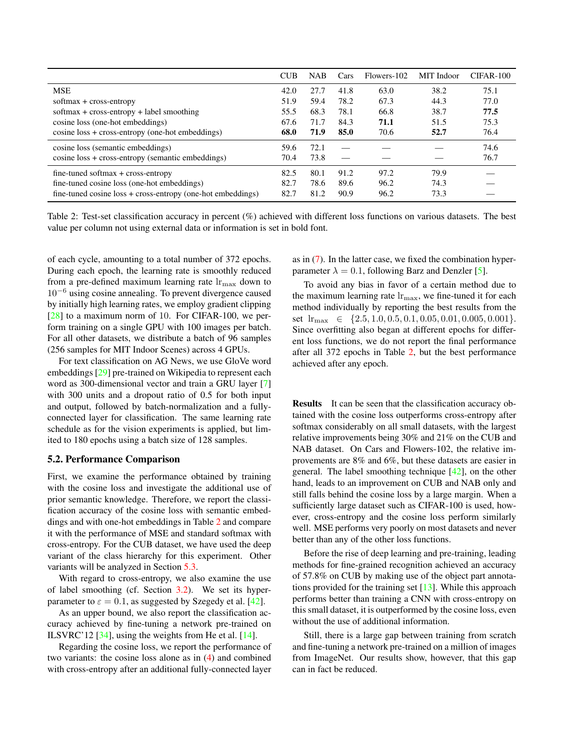<span id="page-5-2"></span><span id="page-5-0"></span>

|                                                                  | <b>CUB</b> | <b>NAB</b> | Cars | Flowers-102 | MIT Indoor | $CIFAR-100$ |
|------------------------------------------------------------------|------------|------------|------|-------------|------------|-------------|
| <b>MSE</b><br>softmax + cross-entropy                            |            | 27.7       | 41.8 | 63.0        | 38.2       | 75.1        |
|                                                                  |            | 59.4       | 78.2 | 67.3        | 44.3       | 77.0        |
| softmax + cross-entropy + label smoothing                        | 55.5       | 68.3       | 78.1 | 66.8        | 38.7       | 77.5        |
| cosine loss (one-hot embeddings)                                 | 67.6       | 71.7       | 84.3 | 71.1        | 51.5       | 75.3        |
| $cosine loss + cross-entropy (one-hot embeddings)$               | 68.0       | 71.9       | 85.0 | 70.6        | 52.7       | 76.4        |
| cosine loss (semantic embeddings)                                | 59.6       | 72.1       |      |             |            | 74.6        |
| $cosine loss + cross-entropy (semantic embeddings)$              | 70.4       | 73.8       |      |             |            | 76.7        |
| $fine$ -tuned softmax + cross-entropy                            | 82.5       | 80.1       | 91.2 | 97.2        | 79.9       |             |
| fine-tuned cosine loss (one-hot embeddings)                      | 82.7       | 78.6       | 89.6 | 96.2        | 74.3       |             |
| $fine$ -tuned cosine $loss + cross-entropy$ (one-hot embeddings) | 82.7       | 81.2       | 90.9 | 96.2        | 73.3       |             |

Table 2: Test-set classification accuracy in percent (%) achieved with different loss functions on various datasets. The best value per column not using external data or information is set in bold font.

of each cycle, amounting to a total number of 372 epochs. During each epoch, the learning rate is smoothly reduced from a pre-defined maximum learning rate  $\ln_{\text{max}}$  down to  $10^{-6}$  using cosine annealing. To prevent divergence caused by initially high learning rates, we employ gradient clipping [\[28\]](#page-8-25) to a maximum norm of 10. For CIFAR-100, we perform training on a single GPU with 100 images per batch. For all other datasets, we distribute a batch of 96 samples (256 samples for MIT Indoor Scenes) across 4 GPUs.

For text classification on AG News, we use GloVe word embeddings [\[29\]](#page-8-26) pre-trained on Wikipedia to represent each word as 300-dimensional vector and train a GRU layer [\[7\]](#page-8-27) with 300 units and a dropout ratio of 0.5 for both input and output, followed by batch-normalization and a fullyconnected layer for classification. The same learning rate schedule as for the vision experiments is applied, but limited to 180 epochs using a batch size of 128 samples.

#### <span id="page-5-1"></span>5.2. Performance Comparison

First, we examine the performance obtained by training with the cosine loss and investigate the additional use of prior semantic knowledge. Therefore, we report the classification accuracy of the cosine loss with semantic embeddings and with one-hot embeddings in Table [2](#page-5-0) and compare it with the performance of MSE and standard softmax with cross-entropy. For the CUB dataset, we have used the deep variant of the class hierarchy for this experiment. Other variants will be analyzed in Section [5.3.](#page-6-0)

With regard to cross-entropy, we also examine the use of label smoothing (cf. Section [3.2\)](#page-2-3). We set its hyperparameter to  $\varepsilon = 0.1$ , as suggested by Szegedy et al. [\[42\]](#page-9-20).

As an upper bound, we also report the classification accuracy achieved by fine-tuning a network pre-trained on ILSVRC'12 [\[34\]](#page-9-8), using the weights from He et al. [\[14\]](#page-8-22).

Regarding the cosine loss, we report the performance of two variants: the cosine loss alone as in [\(4\)](#page-2-1) and combined with cross-entropy after an additional fully-connected layer

as in [\(7\)](#page-3-1). In the latter case, we fixed the combination hyperparameter  $\lambda = 0.1$ , following Barz and Denzler [\[5\]](#page-8-7).

To avoid any bias in favor of a certain method due to the maximum learning rate  $\ln_{\text{max}}$ , we fine-tuned it for each method individually by reporting the best results from the set  $\text{lr}_{\text{max}} \in \{2.5, 1.0, 0.5, 0.1, 0.05, 0.01, 0.005, 0.001\}.$ Since overfitting also began at different epochs for different loss functions, we do not report the final performance after all 372 epochs in Table [2,](#page-5-0) but the best performance achieved after any epoch.

Results It can be seen that the classification accuracy obtained with the cosine loss outperforms cross-entropy after softmax considerably on all small datasets, with the largest relative improvements being 30% and 21% on the CUB and NAB dataset. On Cars and Flowers-102, the relative improvements are 8% and 6%, but these datasets are easier in general. The label smoothing technique  $[42]$ , on the other hand, leads to an improvement on CUB and NAB only and still falls behind the cosine loss by a large margin. When a sufficiently large dataset such as CIFAR-100 is used, however, cross-entropy and the cosine loss perform similarly well. MSE performs very poorly on most datasets and never better than any of the other loss functions.

Before the rise of deep learning and pre-training, leading methods for fine-grained recognition achieved an accuracy of 57.8% on CUB by making use of the object part annotations provided for the training set [\[13\]](#page-8-28). While this approach performs better than training a CNN with cross-entropy on this small dataset, it is outperformed by the cosine loss, even without the use of additional information.

Still, there is a large gap between training from scratch and fine-tuning a network pre-trained on a million of images from ImageNet. Our results show, however, that this gap can in fact be reduced.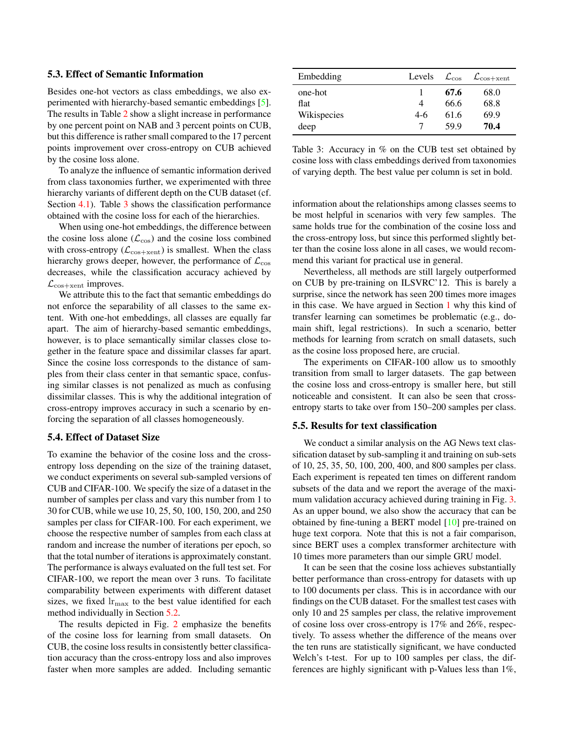#### <span id="page-6-2"></span><span id="page-6-0"></span>5.3. Effect of Semantic Information

Besides one-hot vectors as class embeddings, we also experimented with hierarchy-based semantic embeddings [\[5\]](#page-8-7). The results in Table [2](#page-5-0) show a slight increase in performance by one percent point on NAB and 3 percent points on CUB, but this difference is rather small compared to the 17 percent points improvement over cross-entropy on CUB achieved by the cosine loss alone.

To analyze the influence of semantic information derived from class taxonomies further, we experimented with three hierarchy variants of different depth on the CUB dataset (cf. Section [4.1\)](#page-4-2). Table [3](#page-6-1) shows the classification performance obtained with the cosine loss for each of the hierarchies.

When using one-hot embeddings, the difference between the cosine loss alone  $(\mathcal{L}_{\text{cos}})$  and the cosine loss combined with cross-entropy ( $\mathcal{L}_{\text{cos}+\text{xent}}$ ) is smallest. When the class hierarchy grows deeper, however, the performance of  $\mathcal{L}_{\text{cos}}$ decreases, while the classification accuracy achieved by  $\mathcal{L}_{\text{cos}+\text{xent}}$  improves.

We attribute this to the fact that semantic embeddings do not enforce the separability of all classes to the same extent. With one-hot embeddings, all classes are equally far apart. The aim of hierarchy-based semantic embeddings, however, is to place semantically similar classes close together in the feature space and dissimilar classes far apart. Since the cosine loss corresponds to the distance of samples from their class center in that semantic space, confusing similar classes is not penalized as much as confusing dissimilar classes. This is why the additional integration of cross-entropy improves accuracy in such a scenario by enforcing the separation of all classes homogeneously.

# 5.4. Effect of Dataset Size

To examine the behavior of the cosine loss and the crossentropy loss depending on the size of the training dataset, we conduct experiments on several sub-sampled versions of CUB and CIFAR-100. We specify the size of a dataset in the number of samples per class and vary this number from 1 to 30 for CUB, while we use 10, 25, 50, 100, 150, 200, and 250 samples per class for CIFAR-100. For each experiment, we choose the respective number of samples from each class at random and increase the number of iterations per epoch, so that the total number of iterations is approximately constant. The performance is always evaluated on the full test set. For CIFAR-100, we report the mean over 3 runs. To facilitate comparability between experiments with different dataset sizes, we fixed  $\ln_{\text{max}}$  to the best value identified for each method individually in Section [5.2.](#page-5-1)

The results depicted in Fig. [2](#page-7-1) emphasize the benefits of the cosine loss for learning from small datasets. On CUB, the cosine loss results in consistently better classification accuracy than the cross-entropy loss and also improves faster when more samples are added. Including semantic

<span id="page-6-1"></span>

| Embedding   | Levels | $\mathcal{L}_{\cos}$ | $\mathcal{L}_{\text{cos}+\text{xent}}$ |  |
|-------------|--------|----------------------|----------------------------------------|--|
| one-hot     |        | 67.6                 | 68.0                                   |  |
| flat        | 4      | 66.6                 | 68.8                                   |  |
| Wikispecies | $4-6$  | 61.6                 | 69.9                                   |  |
| deep        |        | 59.9                 | 70.4                                   |  |

Table 3: Accuracy in % on the CUB test set obtained by cosine loss with class embeddings derived from taxonomies of varying depth. The best value per column is set in bold.

information about the relationships among classes seems to be most helpful in scenarios with very few samples. The same holds true for the combination of the cosine loss and the cross-entropy loss, but since this performed slightly better than the cosine loss alone in all cases, we would recommend this variant for practical use in general.

Nevertheless, all methods are still largely outperformed on CUB by pre-training on ILSVRC'12. This is barely a surprise, since the network has seen 200 times more images in this case. We have argued in Section [1](#page-0-0) why this kind of transfer learning can sometimes be problematic (e.g., domain shift, legal restrictions). In such a scenario, better methods for learning from scratch on small datasets, such as the cosine loss proposed here, are crucial.

The experiments on CIFAR-100 allow us to smoothly transition from small to larger datasets. The gap between the cosine loss and cross-entropy is smaller here, but still noticeable and consistent. It can also be seen that crossentropy starts to take over from 150–200 samples per class.

#### 5.5. Results for text classification

We conduct a similar analysis on the AG News text classification dataset by sub-sampling it and training on sub-sets of 10, 25, 35, 50, 100, 200, 400, and 800 samples per class. Each experiment is repeated ten times on different random subsets of the data and we report the average of the maximum validation accuracy achieved during training in Fig. [3.](#page-7-2) As an upper bound, we also show the accuracy that can be obtained by fine-tuning a BERT model [\[10\]](#page-8-29) pre-trained on huge text corpora. Note that this is not a fair comparison, since BERT uses a complex transformer architecture with 10 times more parameters than our simple GRU model.

It can be seen that the cosine loss achieves substantially better performance than cross-entropy for datasets with up to 100 documents per class. This is in accordance with our findings on the CUB dataset. For the smallest test cases with only 10 and 25 samples per class, the relative improvement of cosine loss over cross-entropy is 17% and 26%, respectively. To assess whether the difference of the means over the ten runs are statistically significant, we have conducted Welch's t-test. For up to 100 samples per class, the differences are highly significant with p-Values less than 1%,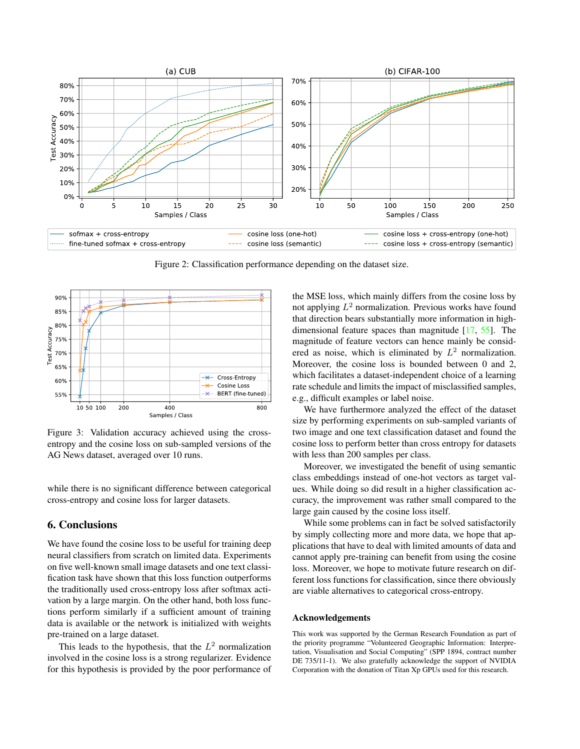<span id="page-7-3"></span><span id="page-7-1"></span>

Figure 2: Classification performance depending on the dataset size.

<span id="page-7-2"></span>

Figure 3: Validation accuracy achieved using the crossentropy and the cosine loss on sub-sampled versions of the AG News dataset, averaged over 10 runs.

while there is no significant difference between categorical cross-entropy and cosine loss for larger datasets.

# <span id="page-7-0"></span>6. Conclusions

We have found the cosine loss to be useful for training deep neural classifiers from scratch on limited data. Experiments on five well-known small image datasets and one text classification task have shown that this loss function outperforms the traditionally used cross-entropy loss after softmax activation by a large margin. On the other hand, both loss functions perform similarly if a sufficient amount of training data is available or the network is initialized with weights pre-trained on a large dataset.

This leads to the hypothesis, that the  $L^2$  normalization involved in the cosine loss is a strong regularizer. Evidence for this hypothesis is provided by the poor performance of the MSE loss, which mainly differs from the cosine loss by not applying  $L^2$  normalization. Previous works have found that direction bears substantially more information in highdimensional feature spaces than magnitude [\[17,](#page-8-30) [55\]](#page-9-25). The magnitude of feature vectors can hence mainly be considered as noise, which is eliminated by  $L^2$  normalization. Moreover, the cosine loss is bounded between 0 and 2, which facilitates a dataset-independent choice of a learning rate schedule and limits the impact of misclassified samples, e.g., difficult examples or label noise.

We have furthermore analyzed the effect of the dataset size by performing experiments on sub-sampled variants of two image and one text classification dataset and found the cosine loss to perform better than cross entropy for datasets with less than 200 samples per class.

Moreover, we investigated the benefit of using semantic class embeddings instead of one-hot vectors as target values. While doing so did result in a higher classification accuracy, the improvement was rather small compared to the large gain caused by the cosine loss itself.

While some problems can in fact be solved satisfactorily by simply collecting more and more data, we hope that applications that have to deal with limited amounts of data and cannot apply pre-training can benefit from using the cosine loss. Moreover, we hope to motivate future research on different loss functions for classification, since there obviously are viable alternatives to categorical cross-entropy.

#### Acknowledgements

This work was supported by the German Research Foundation as part of the priority programme "Volunteered Geographic Information: Interpretation, Visualisation and Social Computing" (SPP 1894, contract number DE 735/11-1). We also gratefully acknowledge the support of NVIDIA Corporation with the donation of Titan Xp GPUs used for this research.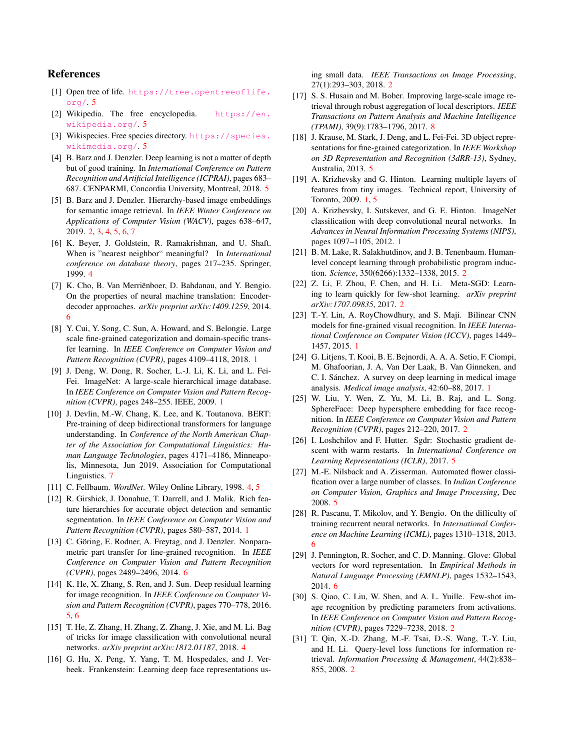# References

- <span id="page-8-19"></span>[1] Open tree of life. [https://tree.opentreeoflife.](https://tree.opentreeoflife.org/)  $\text{org}/.5$  $\text{org}/.5$
- <span id="page-8-18"></span>[2] Wikipedia. The free encyclopedia. [https://en.](https://en.wikipedia.org/) [wikipedia.org/](https://en.wikipedia.org/). [5](#page-4-3)
- <span id="page-8-17"></span>[3] Wikispecies. Free species directory. [https://species.](https://species.wikimedia.org/) [wikimedia.org/](https://species.wikimedia.org/). [5](#page-4-3)
- <span id="page-8-23"></span>[4] B. Barz and J. Denzler. Deep learning is not a matter of depth but of good training. In *International Conference on Pattern Recognition and Artificial Intelligence (ICPRAI)*, pages 683– 687. CENPARMI, Concordia University, Montreal, 2018. [5](#page-4-3)
- <span id="page-8-7"></span>[5] B. Barz and J. Denzler. Hierarchy-based image embeddings for semantic image retrieval. In *IEEE Winter Conference on Applications of Computer Vision (WACV)*, pages 638–647, 2019. [2,](#page-1-1) [3,](#page-2-4) [4,](#page-3-2) [5,](#page-4-3) [6,](#page-5-2) [7](#page-6-2)
- <span id="page-8-15"></span>[6] K. Beyer, J. Goldstein, R. Ramakrishnan, and U. Shaft. When is "nearest neighbor" meaningful? In *International conference on database theory*, pages 217–235. Springer, 1999. [4](#page-3-2)
- <span id="page-8-27"></span>[7] K. Cho, B. Van Merriënboer, D. Bahdanau, and Y. Bengio. On the properties of neural machine translation: Encoderdecoder approaches. *arXiv preprint arXiv:1409.1259*, 2014. [6](#page-5-2)
- <span id="page-8-4"></span>[8] Y. Cui, Y. Song, C. Sun, A. Howard, and S. Belongie. Large scale fine-grained categorization and domain-specific transfer learning. In *IEEE Conference on Computer Vision and Pattern Recognition (CVPR)*, pages 4109–4118, 2018. [1](#page-0-1)
- <span id="page-8-1"></span>[9] J. Deng, W. Dong, R. Socher, L.-J. Li, K. Li, and L. Fei-Fei. ImageNet: A large-scale hierarchical image database. In *IEEE Conference on Computer Vision and Pattern Recognition (CVPR)*, pages 248–255. IEEE, 2009. [1](#page-0-1)
- <span id="page-8-29"></span>[10] J. Devlin, M.-W. Chang, K. Lee, and K. Toutanova. BERT: Pre-training of deep bidirectional transformers for language understanding. In *Conference of the North American Chapter of the Association for Computational Linguistics: Human Language Technologies*, pages 4171–4186, Minneapolis, Minnesota, Jun 2019. Association for Computational Linguistics. [7](#page-6-2)
- <span id="page-8-16"></span>[11] C. Fellbaum. *WordNet*. Wiley Online Library, 1998. [4,](#page-3-2) [5](#page-4-3)
- <span id="page-8-2"></span>[12] R. Girshick, J. Donahue, T. Darrell, and J. Malik. Rich feature hierarchies for accurate object detection and semantic segmentation. In *IEEE Conference on Computer Vision and Pattern Recognition (CVPR)*, pages 580–587, 2014. [1](#page-0-1)
- <span id="page-8-28"></span>[13] C. Göring, E. Rodner, A. Freytag, and J. Denzler. Nonparametric part transfer for fine-grained recognition. In *IEEE Conference on Computer Vision and Pattern Recognition (CVPR)*, pages 2489–2496, 2014. [6](#page-5-2)
- <span id="page-8-22"></span>[14] K. He, X. Zhang, S. Ren, and J. Sun. Deep residual learning for image recognition. In *IEEE Conference on Computer Vision and Pattern Recognition (CVPR)*, pages 770–778, 2016. [5,](#page-4-3) [6](#page-5-2)
- <span id="page-8-14"></span>[15] T. He, Z. Zhang, H. Zhang, Z. Zhang, J. Xie, and M. Li. Bag of tricks for image classification with convolutional neural networks. *arXiv preprint arXiv:1812.01187*, 2018. [4](#page-3-2)
- <span id="page-8-10"></span>[16] G. Hu, X. Peng, Y. Yang, T. M. Hospedales, and J. Verbeek. Frankenstein: Learning deep face representations us-

ing small data. *IEEE Transactions on Image Processing*, 27(1):293–303, 2018. [2](#page-1-1)

- <span id="page-8-30"></span>[17] S. S. Husain and M. Bober. Improving large-scale image retrieval through robust aggregation of local descriptors. *IEEE Transactions on Pattern Analysis and Machine Intelligence (TPAMI)*, 39(9):1783–1796, 2017. [8](#page-7-3)
- <span id="page-8-20"></span>[18] J. Krause, M. Stark, J. Deng, and L. Fei-Fei. 3D object representations for fine-grained categorization. In *IEEE Workshop on 3D Representation and Recognition (3dRR-13)*, Sydney, Australia, 2013. [5](#page-4-3)
- <span id="page-8-6"></span>[19] A. Krizhevsky and G. Hinton. Learning multiple layers of features from tiny images. Technical report, University of Toronto, 2009. [1,](#page-0-1) [5](#page-4-3)
- <span id="page-8-0"></span>[20] A. Krizhevsky, I. Sutskever, and G. E. Hinton. ImageNet classification with deep convolutional neural networks. In *Advances in Neural Information Processing Systems (NIPS)*, pages 1097–1105, 2012. [1](#page-0-1)
- <span id="page-8-11"></span>[21] B. M. Lake, R. Salakhutdinov, and J. B. Tenenbaum. Humanlevel concept learning through probabilistic program induction. *Science*, 350(6266):1332–1338, 2015. [2](#page-1-1)
- <span id="page-8-8"></span>[22] Z. Li, F. Zhou, F. Chen, and H. Li. Meta-SGD: Learning to learn quickly for few-shot learning. *arXiv preprint arXiv:1707.09835*, 2017. [2](#page-1-1)
- <span id="page-8-3"></span>[23] T.-Y. Lin, A. RoyChowdhury, and S. Maji. Bilinear CNN models for fine-grained visual recognition. In *IEEE International Conference on Computer Vision (ICCV)*, pages 1449– 1457, 2015. [1](#page-0-1)
- <span id="page-8-5"></span>[24] G. Litjens, T. Kooi, B. E. Bejnordi, A. A. A. Setio, F. Ciompi, M. Ghafoorian, J. A. Van Der Laak, B. Van Ginneken, and C. I. Sánchez. A survey on deep learning in medical image analysis. *Medical image analysis*, 42:60–88, 2017. [1](#page-0-1)
- <span id="page-8-13"></span>[25] W. Liu, Y. Wen, Z. Yu, M. Li, B. Raj, and L. Song. SphereFace: Deep hypersphere embedding for face recognition. In *IEEE Conference on Computer Vision and Pattern Recognition (CVPR)*, pages 212–220, 2017. [2](#page-1-1)
- <span id="page-8-24"></span>[26] I. Loshchilov and F. Hutter. Sgdr: Stochastic gradient descent with warm restarts. In *International Conference on Learning Representations (ICLR)*, 2017. [5](#page-4-3)
- <span id="page-8-21"></span>[27] M.-E. Nilsback and A. Zisserman. Automated flower classification over a large number of classes. In *Indian Conference on Computer Vision, Graphics and Image Processing*, Dec 2008. [5](#page-4-3)
- <span id="page-8-25"></span>[28] R. Pascanu, T. Mikolov, and Y. Bengio. On the difficulty of training recurrent neural networks. In *International Conference on Machine Learning (ICML)*, pages 1310–1318, 2013. [6](#page-5-2)
- <span id="page-8-26"></span>[29] J. Pennington, R. Socher, and C. D. Manning. Glove: Global vectors for word representation. In *Empirical Methods in Natural Language Processing (EMNLP)*, pages 1532–1543, 2014. [6](#page-5-2)
- <span id="page-8-9"></span>[30] S. Qiao, C. Liu, W. Shen, and A. L. Yuille. Few-shot image recognition by predicting parameters from activations. In *IEEE Conference on Computer Vision and Pattern Recognition (CVPR)*, pages 7229–7238, 2018. [2](#page-1-1)
- <span id="page-8-12"></span>[31] T. Qin, X.-D. Zhang, M.-F. Tsai, D.-S. Wang, T.-Y. Liu, and H. Li. Query-level loss functions for information retrieval. *Information Processing & Management*, 44(2):838– 855, 2008. [2](#page-1-1)